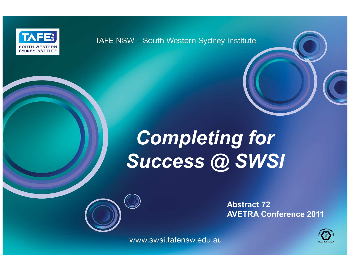

TAFE NSW - South Western Sydney Institute

# Completing for Success @ SWSI

Abstract 72AVETRA Conference 2011

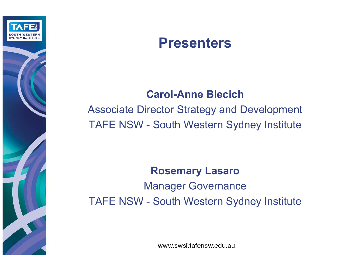

### Presenters

#### Carol-Anne Blecich

 Associate Director Strategy and Development TAFE NSW - South Western Sydney Institute

#### Rosemary Lasaro

Manager GovernanceTAFE NSW - South Western Sydney Institute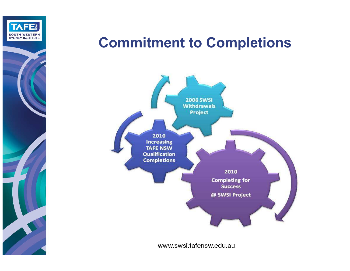

## Commitment to Completions

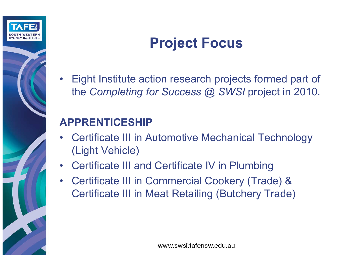

# Project Focus

• Eight Institute action research projects formed part of the *Completing for Success @ SWSI* project in 2010.

### APPRENTICESHIP

- Certificate III in Automotive Mechanical Technology (Light Vehicle)
- Certificate III and Certificate IV in Plumbing
- Certificate III in Commercial Cookery (Trade) & Certificate III in Meat Retailing (Butchery Trade)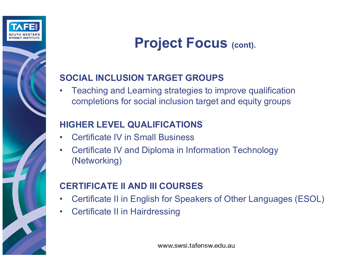

## Project Focus (cont).

#### SOCIAL INCLUSION TARGET GROUPS

• Teaching and Learning strategies to improve qualification completions for social inclusion target and equity groups

#### HIGHER LEVEL QUALIFICATIONS

- •Certificate IV in Small Business
- • Certificate IV and Diploma in Information Technology (Networking)

#### CERTIFICATE II AND III COURSES

- Certificate II in English for Speakers of Other Languages (ESOL) •
- •Certificate II in Hairdressing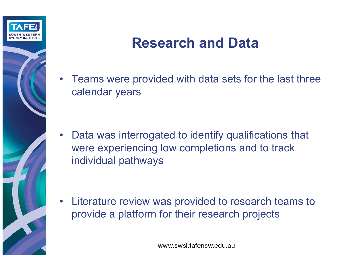

# Research and Data

• Teams were provided with data sets for the last three calendar years

• Data was interrogated to identify qualifications that were experiencing low completions and to track individual pathways

• Literature review was provided to research teams to provide a platform for their research projects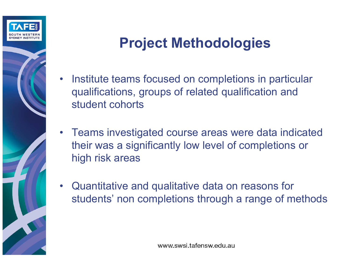

# Project Methodologies

- • Institute teams focused on completions in particular qualifications, groups of related qualification and student cohorts
- Teams investigated course areas were data indicated their was a significantly low level of completions or high risk areas
- Quantitative and qualitative data on reasons for students' non completions through a range of methods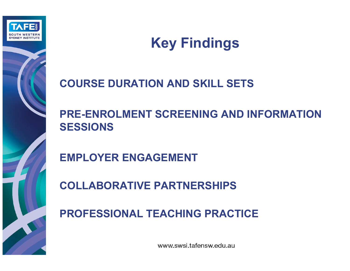

# Key Findings

#### COURSE DURATION AND SKILL SETS

#### PRE-ENROLMENT SCREENING AND INFORMATION SESSIONS

EMPLOYER ENGAGEMENT

COLLABORATIVE PARTNERSHIPS

PROFESSIONAL TEACHING PRACTICE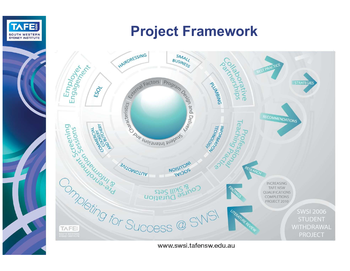

# Project Framework

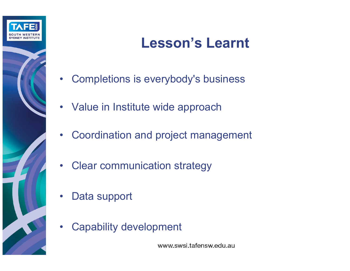

# Lesson's Learnt

- Completions is everybody's business
- Value in Institute wide approach
- Coordination and project management
- •Clear communication strategy
- •Data support
- $\bullet$ Capability development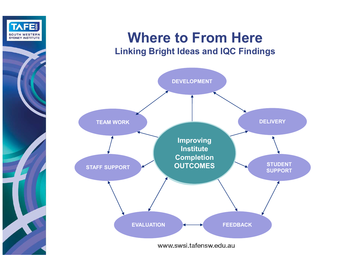

#### Where to From HereLinking Bright Ideas and IQC Findings